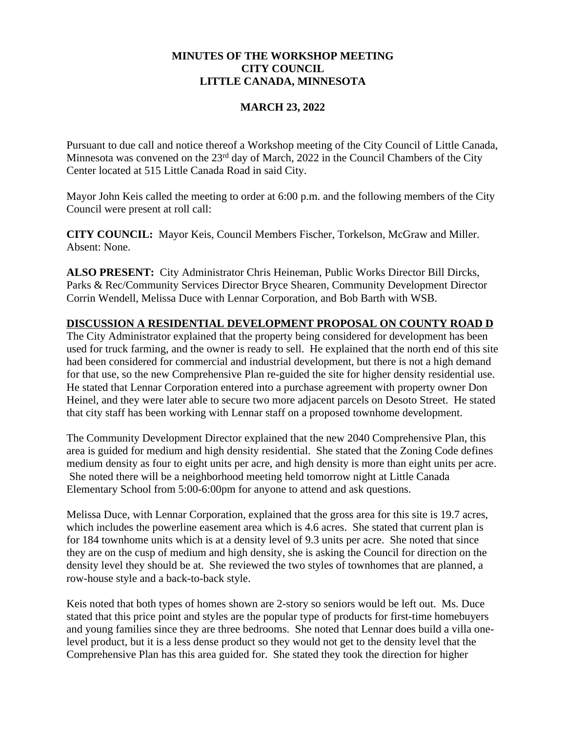# **MINUTES OF THE WORKSHOP MEETING CITY COUNCIL LITTLE CANADA, MINNESOTA**

### **MARCH 23, 2022**

Pursuant to due call and notice thereof a Workshop meeting of the City Council of Little Canada, Minnesota was convened on the 23<sup>rd</sup> day of March, 2022 in the Council Chambers of the City Center located at 515 Little Canada Road in said City.

Mayor John Keis called the meeting to order at 6:00 p.m. and the following members of the City Council were present at roll call:

**CITY COUNCIL:** Mayor Keis, Council Members Fischer, Torkelson, McGraw and Miller. Absent: None.

**ALSO PRESENT:** City Administrator Chris Heineman, Public Works Director Bill Dircks, Parks & Rec/Community Services Director Bryce Shearen, Community Development Director Corrin Wendell, Melissa Duce with Lennar Corporation, and Bob Barth with WSB.

#### **DISCUSSION A RESIDENTIAL DEVELOPMENT PROPOSAL ON COUNTY ROAD D**

The City Administrator explained that the property being considered for development has been used for truck farming, and the owner is ready to sell. He explained that the north end of this site had been considered for commercial and industrial development, but there is not a high demand for that use, so the new Comprehensive Plan re-guided the site for higher density residential use. He stated that Lennar Corporation entered into a purchase agreement with property owner Don Heinel, and they were later able to secure two more adjacent parcels on Desoto Street. He stated that city staff has been working with Lennar staff on a proposed townhome development.

The Community Development Director explained that the new 2040 Comprehensive Plan, this area is guided for medium and high density residential. She stated that the Zoning Code defines medium density as four to eight units per acre, and high density is more than eight units per acre. She noted there will be a neighborhood meeting held tomorrow night at Little Canada Elementary School from 5:00-6:00pm for anyone to attend and ask questions.

Melissa Duce, with Lennar Corporation, explained that the gross area for this site is 19.7 acres, which includes the powerline easement area which is 4.6 acres. She stated that current plan is for 184 townhome units which is at a density level of 9.3 units per acre. She noted that since they are on the cusp of medium and high density, she is asking the Council for direction on the density level they should be at. She reviewed the two styles of townhomes that are planned, a row-house style and a back-to-back style.

Keis noted that both types of homes shown are 2-story so seniors would be left out. Ms. Duce stated that this price point and styles are the popular type of products for first-time homebuyers and young families since they are three bedrooms. She noted that Lennar does build a villa onelevel product, but it is a less dense product so they would not get to the density level that the Comprehensive Plan has this area guided for. She stated they took the direction for higher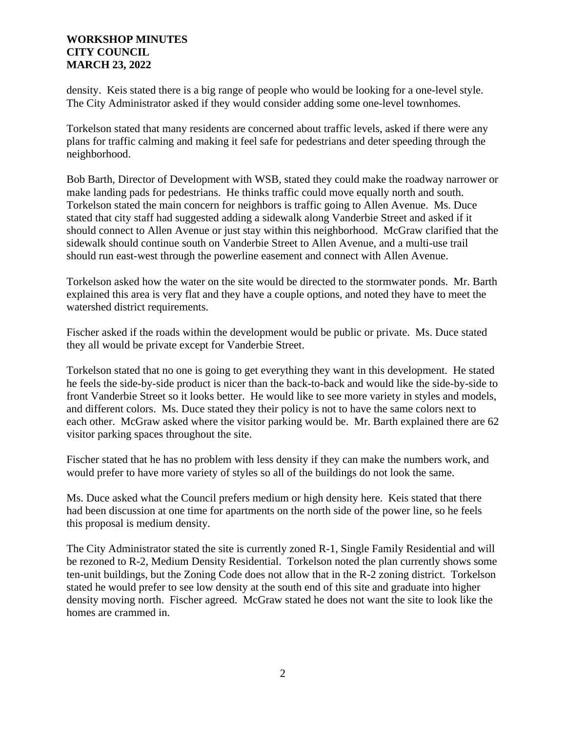## **WORKSHOP MINUTES CITY COUNCIL MARCH 23, 2022**

density. Keis stated there is a big range of people who would be looking for a one-level style. The City Administrator asked if they would consider adding some one-level townhomes.

Torkelson stated that many residents are concerned about traffic levels, asked if there were any plans for traffic calming and making it feel safe for pedestrians and deter speeding through the neighborhood.

Bob Barth, Director of Development with WSB, stated they could make the roadway narrower or make landing pads for pedestrians. He thinks traffic could move equally north and south. Torkelson stated the main concern for neighbors is traffic going to Allen Avenue. Ms. Duce stated that city staff had suggested adding a sidewalk along Vanderbie Street and asked if it should connect to Allen Avenue or just stay within this neighborhood. McGraw clarified that the sidewalk should continue south on Vanderbie Street to Allen Avenue, and a multi-use trail should run east-west through the powerline easement and connect with Allen Avenue.

Torkelson asked how the water on the site would be directed to the stormwater ponds. Mr. Barth explained this area is very flat and they have a couple options, and noted they have to meet the watershed district requirements.

Fischer asked if the roads within the development would be public or private. Ms. Duce stated they all would be private except for Vanderbie Street.

Torkelson stated that no one is going to get everything they want in this development. He stated he feels the side-by-side product is nicer than the back-to-back and would like the side-by-side to front Vanderbie Street so it looks better. He would like to see more variety in styles and models, and different colors. Ms. Duce stated they their policy is not to have the same colors next to each other. McGraw asked where the visitor parking would be. Mr. Barth explained there are 62 visitor parking spaces throughout the site.

Fischer stated that he has no problem with less density if they can make the numbers work, and would prefer to have more variety of styles so all of the buildings do not look the same.

Ms. Duce asked what the Council prefers medium or high density here. Keis stated that there had been discussion at one time for apartments on the north side of the power line, so he feels this proposal is medium density.

The City Administrator stated the site is currently zoned R-1, Single Family Residential and will be rezoned to R-2, Medium Density Residential. Torkelson noted the plan currently shows some ten-unit buildings, but the Zoning Code does not allow that in the R-2 zoning district. Torkelson stated he would prefer to see low density at the south end of this site and graduate into higher density moving north. Fischer agreed. McGraw stated he does not want the site to look like the homes are crammed in.